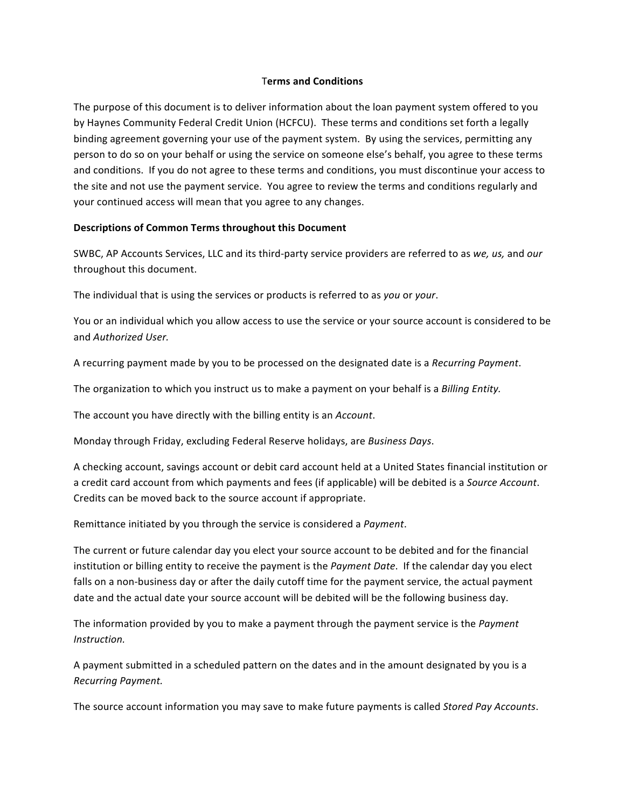### T**erms and Conditions**

The purpose of this document is to deliver information about the loan payment system offered to you by Haynes Community Federal Credit Union (HCFCU). These terms and conditions set forth a legally binding agreement governing your use of the payment system. By using the services, permitting any person to do so on your behalf or using the service on someone else's behalf, you agree to these terms and conditions. If you do not agree to these terms and conditions, you must discontinue your access to the site and not use the payment service. You agree to review the terms and conditions regularly and your continued access will mean that you agree to any changes.

### Descriptions of Common Terms throughout this Document

SWBC, AP Accounts Services, LLC and its third-party service providers are referred to as *we, us,* and *our* throughout this document.

The individual that is using the services or products is referred to as *you* or *your*.

You or an individual which you allow access to use the service or your source account is considered to be and *Authorized User.* 

A recurring payment made by you to be processed on the designated date is a *Recurring Payment*.

The organization to which you instruct us to make a payment on your behalf is a *Billing Entity*.

The account you have directly with the billing entity is an *Account*.

Monday through Friday, excluding Federal Reserve holidays, are *Business Days*.

A checking account, savings account or debit card account held at a United States financial institution or a credit card account from which payments and fees (if applicable) will be debited is a *Source Account*. Credits can be moved back to the source account if appropriate.

Remittance initiated by you through the service is considered a *Payment*.

The current or future calendar day you elect your source account to be debited and for the financial institution or billing entity to receive the payment is the *Payment Date*. If the calendar day you elect falls on a non-business day or after the daily cutoff time for the payment service, the actual payment date and the actual date your source account will be debited will be the following business day.

The information provided by you to make a payment through the payment service is the *Payment Instruction.*

A payment submitted in a scheduled pattern on the dates and in the amount designated by you is a *Recurring Payment.*

The source account information you may save to make future payments is called *Stored Pay Accounts*.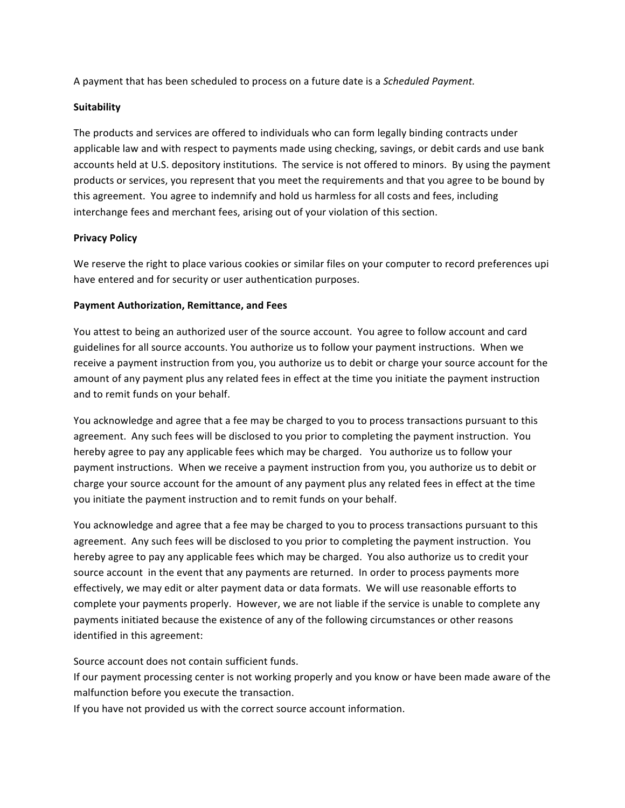A payment that has been scheduled to process on a future date is a *Scheduled Payment.* 

# **Suitability**

The products and services are offered to individuals who can form legally binding contracts under applicable law and with respect to payments made using checking, savings, or debit cards and use bank accounts held at U.S. depository institutions. The service is not offered to minors. By using the payment products or services, you represent that you meet the requirements and that you agree to be bound by this agreement. You agree to indemnify and hold us harmless for all costs and fees, including interchange fees and merchant fees, arising out of your violation of this section.

# **Privacy Policy**

We reserve the right to place various cookies or similar files on your computer to record preferences upi have entered and for security or user authentication purposes.

# **Payment Authorization, Remittance, and Fees**

You attest to being an authorized user of the source account. You agree to follow account and card guidelines for all source accounts. You authorize us to follow your payment instructions. When we receive a payment instruction from you, you authorize us to debit or charge your source account for the amount of any payment plus any related fees in effect at the time you initiate the payment instruction and to remit funds on your behalf.

You acknowledge and agree that a fee may be charged to you to process transactions pursuant to this agreement. Any such fees will be disclosed to you prior to completing the payment instruction. You hereby agree to pay any applicable fees which may be charged. You authorize us to follow your payment instructions. When we receive a payment instruction from you, you authorize us to debit or charge your source account for the amount of any payment plus any related fees in effect at the time you initiate the payment instruction and to remit funds on your behalf.

You acknowledge and agree that a fee may be charged to you to process transactions pursuant to this agreement. Any such fees will be disclosed to you prior to completing the payment instruction. You hereby agree to pay any applicable fees which may be charged. You also authorize us to credit your source account in the event that any payments are returned. In order to process payments more effectively, we may edit or alter payment data or data formats. We will use reasonable efforts to complete your payments properly. However, we are not liable if the service is unable to complete any payments initiated because the existence of any of the following circumstances or other reasons identified in this agreement:

Source account does not contain sufficient funds.

If our payment processing center is not working properly and you know or have been made aware of the malfunction before you execute the transaction.

If you have not provided us with the correct source account information.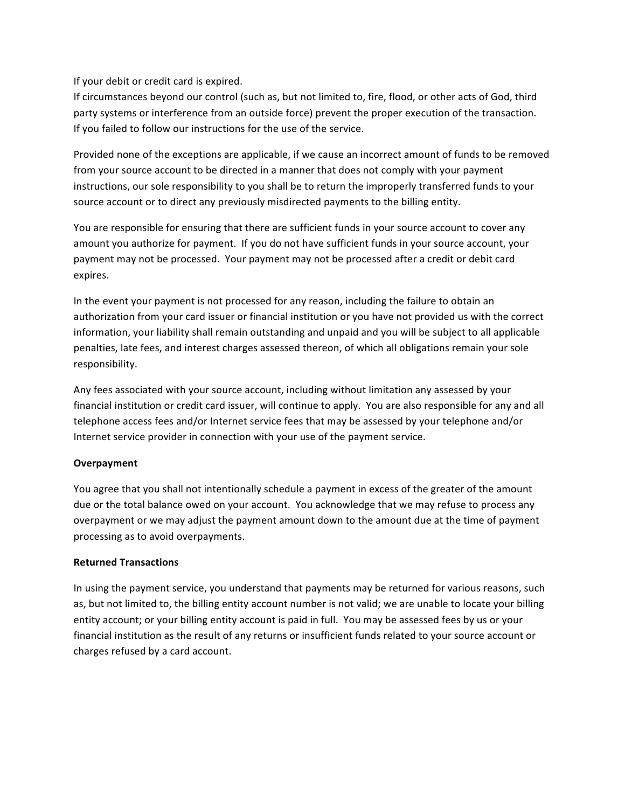# If your debit or credit card is expired.

If circumstances beyond our control (such as, but not limited to, fire, flood, or other acts of God, third party systems or interference from an outside force) prevent the proper execution of the transaction. If you failed to follow our instructions for the use of the service.

Provided none of the exceptions are applicable, if we cause an incorrect amount of funds to be removed from your source account to be directed in a manner that does not comply with your payment instructions, our sole responsibility to you shall be to return the improperly transferred funds to your source account or to direct any previously misdirected payments to the billing entity.

You are responsible for ensuring that there are sufficient funds in your source account to cover any amount you authorize for payment. If you do not have sufficient funds in your source account, your payment may not be processed. Your payment may not be processed after a credit or debit card expires. 

In the event your payment is not processed for any reason, including the failure to obtain an authorization from your card issuer or financial institution or you have not provided us with the correct information, your liability shall remain outstanding and unpaid and you will be subject to all applicable penalties, late fees, and interest charges assessed thereon, of which all obligations remain your sole responsibility.

Any fees associated with your source account, including without limitation any assessed by your financial institution or credit card issuer, will continue to apply. You are also responsible for any and all telephone access fees and/or Internet service fees that may be assessed by your telephone and/or Internet service provider in connection with your use of the payment service.

# **Overpayment**

You agree that you shall not intentionally schedule a payment in excess of the greater of the amount due or the total balance owed on your account. You acknowledge that we may refuse to process any overpayment or we may adjust the payment amount down to the amount due at the time of payment processing as to avoid overpayments.

# **Returned Transactions**

In using the payment service, you understand that payments may be returned for various reasons, such as, but not limited to, the billing entity account number is not valid; we are unable to locate your billing entity account; or your billing entity account is paid in full. You may be assessed fees by us or your financial institution as the result of any returns or insufficient funds related to your source account or charges refused by a card account.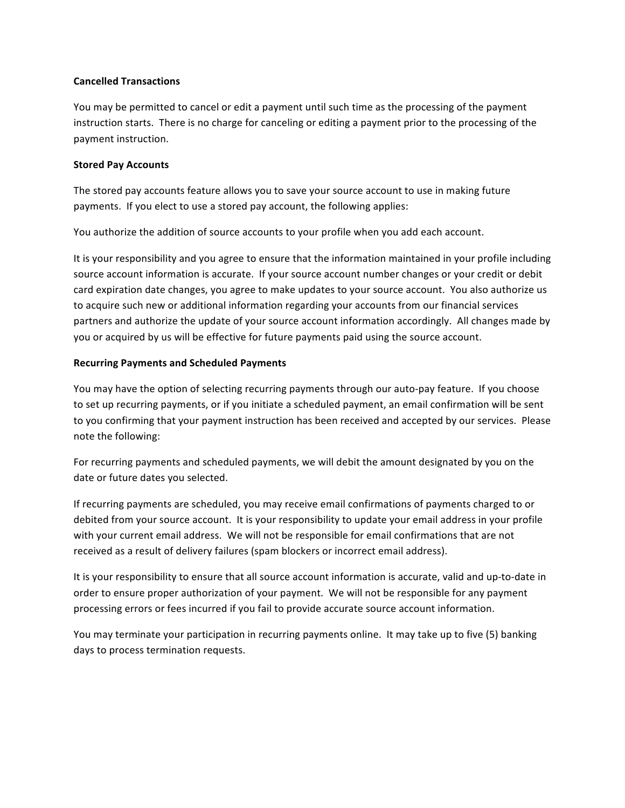### **Cancelled Transactions**

You may be permitted to cancel or edit a payment until such time as the processing of the payment instruction starts. There is no charge for canceling or editing a payment prior to the processing of the payment instruction.

### **Stored Pay Accounts**

The stored pay accounts feature allows you to save your source account to use in making future payments. If you elect to use a stored pay account, the following applies:

You authorize the addition of source accounts to your profile when you add each account.

It is your responsibility and you agree to ensure that the information maintained in your profile including source account information is accurate. If your source account number changes or your credit or debit card expiration date changes, you agree to make updates to your source account. You also authorize us to acquire such new or additional information regarding your accounts from our financial services partners and authorize the update of your source account information accordingly. All changes made by you or acquired by us will be effective for future payments paid using the source account.

### **Recurring Payments and Scheduled Payments**

You may have the option of selecting recurring payments through our auto-pay feature. If you choose to set up recurring payments, or if you initiate a scheduled payment, an email confirmation will be sent to you confirming that your payment instruction has been received and accepted by our services. Please note the following:

For recurring payments and scheduled payments, we will debit the amount designated by you on the date or future dates you selected.

If recurring payments are scheduled, you may receive email confirmations of payments charged to or debited from your source account. It is your responsibility to update your email address in your profile with your current email address. We will not be responsible for email confirmations that are not received as a result of delivery failures (spam blockers or incorrect email address).

It is your responsibility to ensure that all source account information is accurate, valid and up-to-date in order to ensure proper authorization of your payment. We will not be responsible for any payment processing errors or fees incurred if you fail to provide accurate source account information.

You may terminate your participation in recurring payments online. It may take up to five (5) banking days to process termination requests.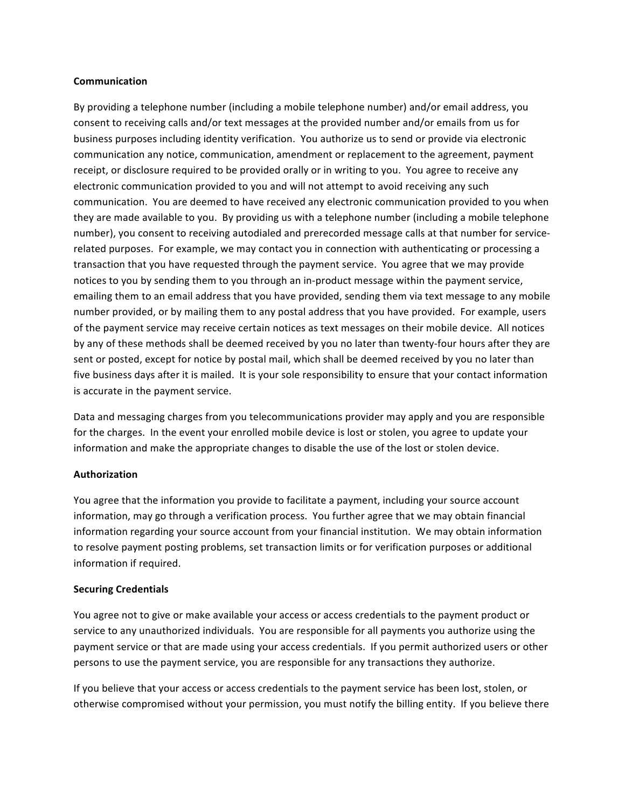### **Communication**

By providing a telephone number (including a mobile telephone number) and/or email address, you consent to receiving calls and/or text messages at the provided number and/or emails from us for business purposes including identity verification. You authorize us to send or provide via electronic communication any notice, communication, amendment or replacement to the agreement, payment receipt, or disclosure required to be provided orally or in writing to you. You agree to receive any electronic communication provided to you and will not attempt to avoid receiving any such communication. You are deemed to have received any electronic communication provided to you when they are made available to you. By providing us with a telephone number (including a mobile telephone number), you consent to receiving autodialed and prerecorded message calls at that number for servicerelated purposes. For example, we may contact you in connection with authenticating or processing a transaction that you have requested through the payment service. You agree that we may provide notices to you by sending them to you through an in-product message within the payment service, emailing them to an email address that you have provided, sending them via text message to any mobile number provided, or by mailing them to any postal address that you have provided. For example, users of the payment service may receive certain notices as text messages on their mobile device. All notices by any of these methods shall be deemed received by you no later than twenty-four hours after they are sent or posted, except for notice by postal mail, which shall be deemed received by you no later than five business days after it is mailed. It is your sole responsibility to ensure that your contact information is accurate in the payment service.

Data and messaging charges from you telecommunications provider may apply and you are responsible for the charges. In the event your enrolled mobile device is lost or stolen, you agree to update your information and make the appropriate changes to disable the use of the lost or stolen device.

#### **Authorization**

You agree that the information you provide to facilitate a payment, including your source account information, may go through a verification process. You further agree that we may obtain financial information regarding your source account from your financial institution. We may obtain information to resolve payment posting problems, set transaction limits or for verification purposes or additional information if required.

# **Securing Credentials**

You agree not to give or make available your access or access credentials to the payment product or service to any unauthorized individuals. You are responsible for all payments you authorize using the payment service or that are made using your access credentials. If you permit authorized users or other persons to use the payment service, you are responsible for any transactions they authorize.

If you believe that your access or access credentials to the payment service has been lost, stolen, or otherwise compromised without your permission, you must notify the billing entity. If you believe there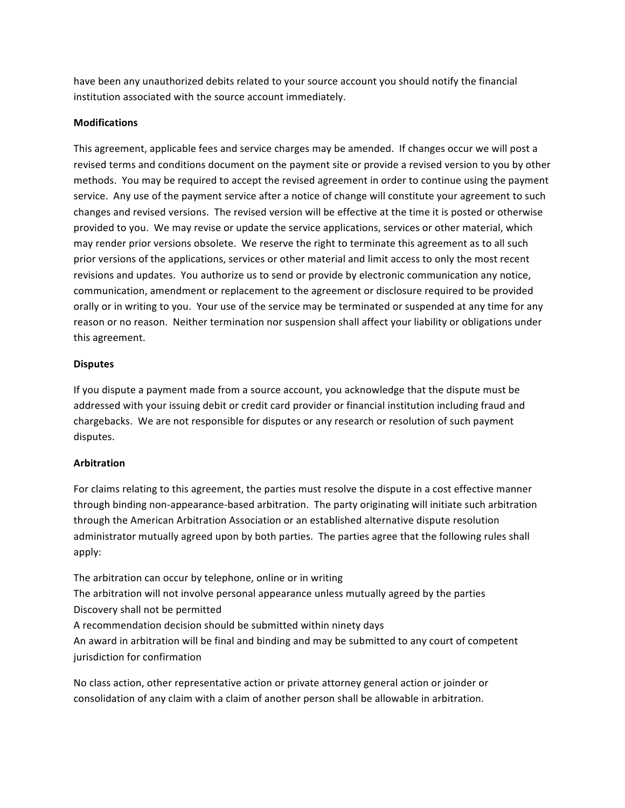have been any unauthorized debits related to your source account you should notify the financial institution associated with the source account immediately.

### **Modifications**

This agreement, applicable fees and service charges may be amended. If changes occur we will post a revised terms and conditions document on the payment site or provide a revised version to you by other methods. You may be required to accept the revised agreement in order to continue using the payment service. Any use of the payment service after a notice of change will constitute your agreement to such changes and revised versions. The revised version will be effective at the time it is posted or otherwise provided to you. We may revise or update the service applications, services or other material, which may render prior versions obsolete. We reserve the right to terminate this agreement as to all such prior versions of the applications, services or other material and limit access to only the most recent revisions and updates. You authorize us to send or provide by electronic communication any notice, communication, amendment or replacement to the agreement or disclosure required to be provided orally or in writing to you. Your use of the service may be terminated or suspended at any time for any reason or no reason. Neither termination nor suspension shall affect your liability or obligations under this agreement.

### **Disputes**

If you dispute a payment made from a source account, you acknowledge that the dispute must be addressed with your issuing debit or credit card provider or financial institution including fraud and chargebacks. We are not responsible for disputes or any research or resolution of such payment disputes.

# **Arbitration**

For claims relating to this agreement, the parties must resolve the dispute in a cost effective manner through binding non-appearance-based arbitration. The party originating will initiate such arbitration through the American Arbitration Association or an established alternative dispute resolution administrator mutually agreed upon by both parties. The parties agree that the following rules shall apply:

The arbitration can occur by telephone, online or in writing The arbitration will not involve personal appearance unless mutually agreed by the parties Discovery shall not be permitted A recommendation decision should be submitted within ninety days An award in arbitration will be final and binding and may be submitted to any court of competent jurisdiction for confirmation

No class action, other representative action or private attorney general action or joinder or consolidation of any claim with a claim of another person shall be allowable in arbitration.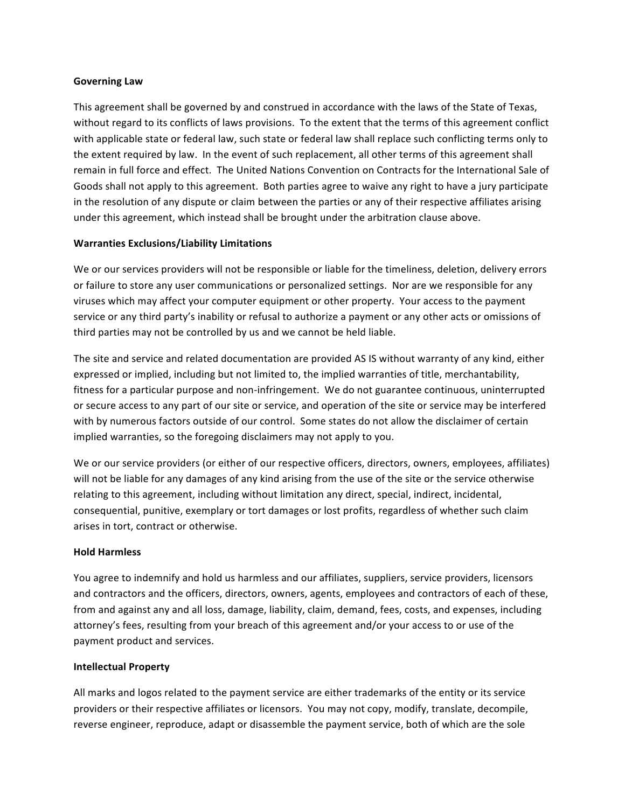### **Governing Law**

This agreement shall be governed by and construed in accordance with the laws of the State of Texas, without regard to its conflicts of laws provisions. To the extent that the terms of this agreement conflict with applicable state or federal law, such state or federal law shall replace such conflicting terms only to the extent required by law. In the event of such replacement, all other terms of this agreement shall remain in full force and effect. The United Nations Convention on Contracts for the International Sale of Goods shall not apply to this agreement. Both parties agree to waive any right to have a jury participate in the resolution of any dispute or claim between the parties or any of their respective affiliates arising under this agreement, which instead shall be brought under the arbitration clause above.

### **Warranties Exclusions/Liability Limitations**

We or our services providers will not be responsible or liable for the timeliness, deletion, delivery errors or failure to store any user communications or personalized settings. Nor are we responsible for any viruses which may affect your computer equipment or other property. Your access to the payment service or any third party's inability or refusal to authorize a payment or any other acts or omissions of third parties may not be controlled by us and we cannot be held liable.

The site and service and related documentation are provided AS IS without warranty of any kind, either expressed or implied, including but not limited to, the implied warranties of title, merchantability, fitness for a particular purpose and non-infringement. We do not guarantee continuous, uninterrupted or secure access to any part of our site or service, and operation of the site or service may be interfered with by numerous factors outside of our control. Some states do not allow the disclaimer of certain implied warranties, so the foregoing disclaimers may not apply to you.

We or our service providers (or either of our respective officers, directors, owners, employees, affiliates) will not be liable for any damages of any kind arising from the use of the site or the service otherwise relating to this agreement, including without limitation any direct, special, indirect, incidental, consequential, punitive, exemplary or tort damages or lost profits, regardless of whether such claim arises in tort, contract or otherwise.

#### **Hold Harmless**

You agree to indemnify and hold us harmless and our affiliates, suppliers, service providers, licensors and contractors and the officers, directors, owners, agents, employees and contractors of each of these, from and against any and all loss, damage, liability, claim, demand, fees, costs, and expenses, including attorney's fees, resulting from your breach of this agreement and/or your access to or use of the payment product and services.

#### **Intellectual Property**

All marks and logos related to the payment service are either trademarks of the entity or its service providers or their respective affiliates or licensors. You may not copy, modify, translate, decompile, reverse engineer, reproduce, adapt or disassemble the payment service, both of which are the sole